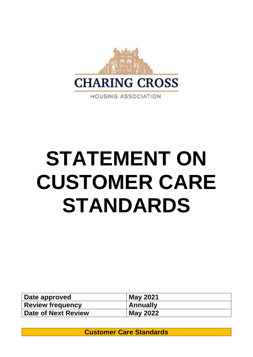

# **STATEMENT ON CUSTOMER CARE STANDARDS**

| Date approved              | <b>May 2021</b> |
|----------------------------|-----------------|
| <b>Review frequency</b>    | <b>Annually</b> |
| <b>Date of Next Review</b> | <b>May 2022</b> |

**Customer Care Standards**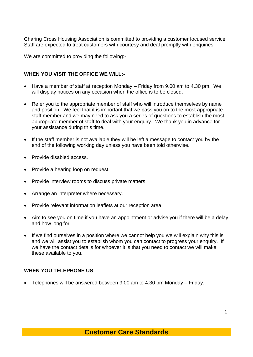Charing Cross Housing Association is committed to providing a customer focused service. Staff are expected to treat customers with courtesy and deal promptly with enquiries.

We are committed to providing the following:-

#### **WHEN YOU VISIT THE OFFICE WE WILL:-**

- Have a member of staff at reception Monday Friday from 9.00 am to 4.30 pm. We will display notices on any occasion when the office is to be closed.
- Refer you to the appropriate member of staff who will introduce themselves by name and position. We feel that it is important that we pass you on to the most appropriate staff member and we may need to ask you a series of questions to establish the most appropriate member of staff to deal with your enquiry. We thank you in advance for your assistance during this time.
- If the staff member is not available they will be left a message to contact you by the end of the following working day unless you have been told otherwise.
- Provide disabled access.
- Provide a hearing loop on request.
- Provide interview rooms to discuss private matters.
- Arrange an interpreter where necessary.
- Provide relevant information leaflets at our reception area.
- Aim to see you on time if you have an appointment or advise you if there will be a delay and how long for.
- If we find ourselves in a position where we cannot help you we will explain why this is and we will assist you to establish whom you can contact to progress your enquiry. If we have the contact details for whoever it is that you need to contact we will make these available to you.

### **WHEN YOU TELEPHONE US**

• Telephones will be answered between 9.00 am to 4.30 pm Monday – Friday.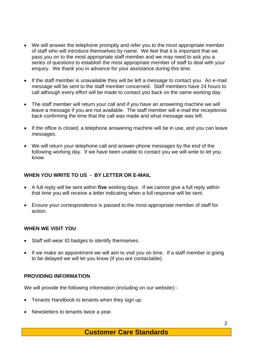- We will answer the telephone promptly and refer you to the most appropriate member of staff who will introduce themselves by name. We feel that it is important that we pass you on to the most appropriate staff member and we may need to ask you a series of questions to establish the most appropriate member of staff to deal with your enquiry. We thank you in advance for your assistance during this time.
- If the staff member is unavailable they will be left a message to contact you. An e-mail message will be sent to the staff member concerned. Staff members have 24 hours to call although every effort will be made to contact you back on the same working day.
- The staff member will return your call and if you have an answering machine we will leave a message if you are not available. The staff member will e-mail the receptionist back confirming the time that the call was made and what message was left.
- If the office is closed, a telephone answering machine will be in use, and you can leave messages.
- We will return your telephone call and answer-phone messages by the end of the following working day. If we have been unable to contact you we will write to let you know.

## **WHEN YOU WRITE TO US - BY LETTER OR E-MAIL**

- A full reply will be sent within **five** working days. If we cannot give a full reply within that time you will receive a letter indicating when a full response will be sent.
- Ensure your correspondence is passed to the most appropriate member of staff for action.

### **WHEN WE VISIT YOU**

- Staff will wear ID badges to identify themselves.
- If we make an appointment we will aim to visit you on time. If a staff member is going to be delayed we will let you know (if you are contactable).

### **PROVIDING INFORMATION**

We will provide the following information (including on our website):-

- Tenants Handbook to tenants when they sign up.
- Newsletters to tenants twice a year.